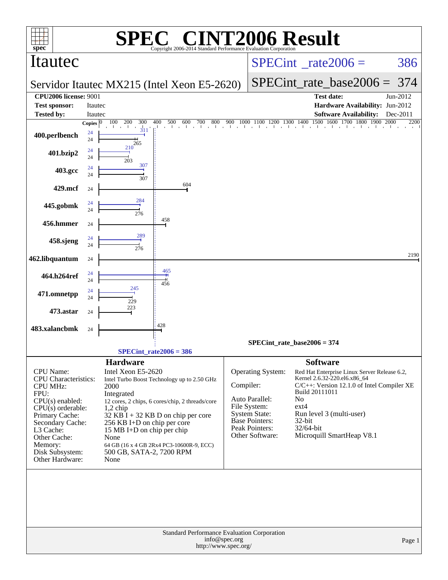|                                                                                                                                                                                                                                     |              | SPE                                                                                                                                                                                | $\bigcap$                                                                                                                                                                                    |               | <b>INT2006 Result</b>                                                                                                                            |                                                                                        |                                                                                                                                                                                     |      |          |
|-------------------------------------------------------------------------------------------------------------------------------------------------------------------------------------------------------------------------------------|--------------|------------------------------------------------------------------------------------------------------------------------------------------------------------------------------------|----------------------------------------------------------------------------------------------------------------------------------------------------------------------------------------------|---------------|--------------------------------------------------------------------------------------------------------------------------------------------------|----------------------------------------------------------------------------------------|-------------------------------------------------------------------------------------------------------------------------------------------------------------------------------------|------|----------|
| $spec^*$<br>Itautec                                                                                                                                                                                                                 |              |                                                                                                                                                                                    | Copyright 2006-2014 Standard Performance Evaluation Corporation                                                                                                                              |               | $SPECint^{\circ}$ rate $2006 =$                                                                                                                  |                                                                                        |                                                                                                                                                                                     |      | 386      |
|                                                                                                                                                                                                                                     |              |                                                                                                                                                                                    | Servidor Itautec MX215 (Intel Xeon E5-2620)                                                                                                                                                  |               |                                                                                                                                                  |                                                                                        | $SPECint$ rate base2006 =                                                                                                                                                           |      | 374      |
| <b>CPU2006 license: 9001</b>                                                                                                                                                                                                        |              |                                                                                                                                                                                    |                                                                                                                                                                                              |               |                                                                                                                                                  |                                                                                        | <b>Test date:</b>                                                                                                                                                                   |      | Jun-2012 |
| <b>Test sponsor:</b>                                                                                                                                                                                                                | Itautec      |                                                                                                                                                                                    |                                                                                                                                                                                              |               |                                                                                                                                                  |                                                                                        | Hardware Availability: Jun-2012                                                                                                                                                     |      |          |
| <b>Tested by:</b>                                                                                                                                                                                                                   | Itautec      |                                                                                                                                                                                    |                                                                                                                                                                                              |               |                                                                                                                                                  |                                                                                        | <b>Software Availability:</b>                                                                                                                                                       |      | Dec-2011 |
|                                                                                                                                                                                                                                     | Copies $ 0 $ | 100<br>200<br>300<br>$\frac{1}{311}$                                                                                                                                               | 400<br>500<br>600<br>700<br>800                                                                                                                                                              | 900           | $1000 \quad 1\overline{100} \quad 1200 \quad 1300 \quad 1400 \quad 1500 \quad 1600 \quad 1700 \quad 1800 \quad 1900$                             |                                                                                        |                                                                                                                                                                                     | 2000 | 2200     |
| 400.perlbench                                                                                                                                                                                                                       | 24<br>24     | 265                                                                                                                                                                                |                                                                                                                                                                                              |               |                                                                                                                                                  |                                                                                        |                                                                                                                                                                                     |      |          |
| 401.bzip2                                                                                                                                                                                                                           | 24<br>24     | 210<br>203                                                                                                                                                                         |                                                                                                                                                                                              |               |                                                                                                                                                  |                                                                                        |                                                                                                                                                                                     |      |          |
| 403.gcc                                                                                                                                                                                                                             | 24<br>24     | 307<br>307                                                                                                                                                                         |                                                                                                                                                                                              |               |                                                                                                                                                  |                                                                                        |                                                                                                                                                                                     |      |          |
| 429.mcf                                                                                                                                                                                                                             | 24           |                                                                                                                                                                                    | 604                                                                                                                                                                                          |               |                                                                                                                                                  |                                                                                        |                                                                                                                                                                                     |      |          |
| 445.gobmk                                                                                                                                                                                                                           | 24<br>24     | 284                                                                                                                                                                                |                                                                                                                                                                                              |               |                                                                                                                                                  |                                                                                        |                                                                                                                                                                                     |      |          |
| 456.hmmer                                                                                                                                                                                                                           | 24           | 276                                                                                                                                                                                | 458                                                                                                                                                                                          |               |                                                                                                                                                  |                                                                                        |                                                                                                                                                                                     |      |          |
| 458.sjeng                                                                                                                                                                                                                           | 24<br>24     | 289                                                                                                                                                                                |                                                                                                                                                                                              |               |                                                                                                                                                  |                                                                                        |                                                                                                                                                                                     |      |          |
| 462.libquantum                                                                                                                                                                                                                      | 24           | 276                                                                                                                                                                                |                                                                                                                                                                                              |               |                                                                                                                                                  |                                                                                        |                                                                                                                                                                                     |      | 2190     |
| 464.h264ref                                                                                                                                                                                                                         | 24           |                                                                                                                                                                                    | 465<br>$\overline{+}$                                                                                                                                                                        |               |                                                                                                                                                  |                                                                                        |                                                                                                                                                                                     |      |          |
| 471.omnetpp                                                                                                                                                                                                                         | 24<br>24     | 245                                                                                                                                                                                | 456                                                                                                                                                                                          |               |                                                                                                                                                  |                                                                                        |                                                                                                                                                                                     |      |          |
| 473.astar                                                                                                                                                                                                                           | 24<br>24     | 229<br>223                                                                                                                                                                         |                                                                                                                                                                                              |               |                                                                                                                                                  |                                                                                        |                                                                                                                                                                                     |      |          |
| 483.xalancbmk                                                                                                                                                                                                                       | 24           |                                                                                                                                                                                    | $428\,$                                                                                                                                                                                      |               |                                                                                                                                                  |                                                                                        |                                                                                                                                                                                     |      |          |
|                                                                                                                                                                                                                                     |              |                                                                                                                                                                                    |                                                                                                                                                                                              |               | $SPECint_rate_base2006 = 374$                                                                                                                    |                                                                                        |                                                                                                                                                                                     |      |          |
|                                                                                                                                                                                                                                     |              |                                                                                                                                                                                    | $SPECint_rate2006 = 386$                                                                                                                                                                     |               |                                                                                                                                                  |                                                                                        |                                                                                                                                                                                     |      |          |
| CPU Name:<br><b>CPU</b> Characteristics:<br><b>CPU MHz:</b><br>FPU:<br>$CPU(s)$ enabled:<br>$CPU(s)$ orderable:<br>Primary Cache:<br>Secondary Cache:<br>L3 Cache:<br>Other Cache:<br>Memory:<br>Disk Subsystem:<br>Other Hardware: |              | <b>Hardware</b><br>Intel Xeon E5-2620<br>2000<br>Integrated<br>$1,2$ chip<br>256 KB I+D on chip per core<br>15 MB I+D on chip per chip<br>None<br>500 GB, SATA-2, 7200 RPM<br>None | Intel Turbo Boost Technology up to 2.50 GHz<br>12 cores, 2 chips, 6 cores/chip, 2 threads/core<br>$32$ KB $\tilde{I}$ + 32 KB D on chip per core<br>64 GB (16 x 4 GB 2Rx4 PC3-10600R-9, ECC) | Compiler:     | <b>Operating System:</b><br>Auto Parallel:<br>File System:<br><b>System State:</b><br><b>Base Pointers:</b><br>Peak Pointers:<br>Other Software: | <b>Software</b><br>Build 20111011<br>N <sub>o</sub><br>$ext{4}$<br>32-bit<br>32/64-bit | Red Hat Enterprise Linux Server Release 6.2,<br>Kernel 2.6.32-220.el6.x86_64<br>C/C++: Version 12.1.0 of Intel Compiler XE<br>Run level 3 (multi-user)<br>Microquill SmartHeap V8.1 |      |          |
|                                                                                                                                                                                                                                     |              |                                                                                                                                                                                    | Standard Performance Evaluation Corporation<br>http://www.spec.org/                                                                                                                          | info@spec.org |                                                                                                                                                  |                                                                                        |                                                                                                                                                                                     |      | Page 1   |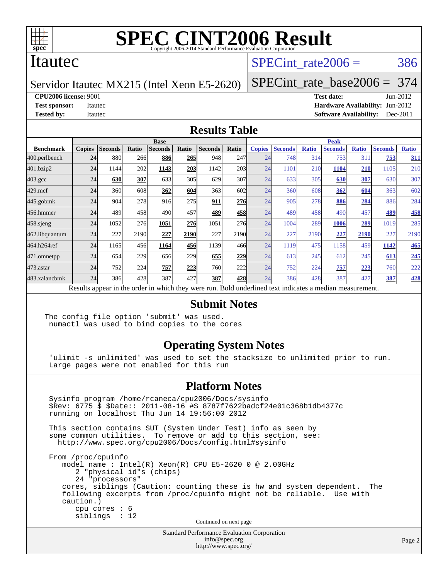

### Itautec

### SPECint rate $2006 = 386$

Servidor Itautec MX215 (Intel Xeon E5-2620)

[SPECint\\_rate\\_base2006 =](http://www.spec.org/auto/cpu2006/Docs/result-fields.html#SPECintratebase2006) 374

**[CPU2006 license:](http://www.spec.org/auto/cpu2006/Docs/result-fields.html#CPU2006license)** 9001 **[Test date:](http://www.spec.org/auto/cpu2006/Docs/result-fields.html#Testdate)** Jun-2012

**[Test sponsor:](http://www.spec.org/auto/cpu2006/Docs/result-fields.html#Testsponsor)** Itautec **[Hardware Availability:](http://www.spec.org/auto/cpu2006/Docs/result-fields.html#HardwareAvailability)** Jun-2012 **[Tested by:](http://www.spec.org/auto/cpu2006/Docs/result-fields.html#Testedby)** Itautec **Italien Contract Contract Contract Contract Contract Contract Contract Contract Contract Contract Contract Contract Contract Contract Contract Contract Contract Contract Contract Contract Contract Con** 

#### **[Results Table](http://www.spec.org/auto/cpu2006/Docs/result-fields.html#ResultsTable)**

|                    |                                                                                                          |                |       | <b>Base</b>    |       |                |       | <b>Peak</b>   |                |              |                |              |                |              |
|--------------------|----------------------------------------------------------------------------------------------------------|----------------|-------|----------------|-------|----------------|-------|---------------|----------------|--------------|----------------|--------------|----------------|--------------|
| <b>Benchmark</b>   | <b>Copies</b>                                                                                            | <b>Seconds</b> | Ratio | <b>Seconds</b> | Ratio | <b>Seconds</b> | Ratio | <b>Copies</b> | <b>Seconds</b> | <b>Ratio</b> | <b>Seconds</b> | <b>Ratio</b> | <b>Seconds</b> | <b>Ratio</b> |
| 400.perlbench      | 24                                                                                                       | 880            | 266   | 886            | 265   | 948            | 247   | 24            | 748            | 314          | 753            | 311          | 753            | 311          |
| 401.bzip2          | 24                                                                                                       | 1144           | 202   | 1143           | 203   | 1142           | 203   | 24            | 1101           | 210          | 1104           | 210          | 1105           | 210          |
| $403.\mathrm{gcc}$ | 24                                                                                                       | 630            | 307   | 633            | 305   | 629            | 307   | 24            | 633            | 305          | 630            | 307          | 630            | 307          |
| $429$ .mcf         | 24                                                                                                       | 360            | 608   | 362            | 604   | 363            | 602   | 24            | 360            | 608          | 362            | 604          | 363            | 602          |
| $445$ .gobmk       | 24                                                                                                       | 904            | 278   | 916            | 275   | 911            | 276   | 24            | 905            | 278          | 886            | 284          | 886            | 284          |
| 456.hmmer          | 24                                                                                                       | 489            | 458   | 490            | 457   | 489            | 458   | 24            | 489            | 458          | 490            | 457          | 489            | 458          |
| $458$ .sjeng       | 24                                                                                                       | 1052           | 276   | 1051           | 276   | 1051           | 276   | 24            | 1004           | 289          | 1006           | 289          | 1019           | 285          |
| 462.libquantum     | 24                                                                                                       | 227            | 2190  | 227            | 2190  | 227            | 2190  | 24            | 227            | 2190         | 227            | 2190         | 227            | 2190         |
| 464.h264ref        | 24                                                                                                       | 1165           | 456   | 1164           | 456   | 1139           | 466   | 24            | 1119           | 475          | 1158           | 459          | 1142           | 465          |
| 471.omnetpp        | 24                                                                                                       | 654            | 229   | 656            | 229   | 655            | 229   | 24            | 613            | 245          | 612            | 245          | 613            | 245          |
| 473.astar          | 24                                                                                                       | 752            | 224   | 757            | 223   | 760            | 222   | 24            | 752            | 224          | 757            | 223          | 760            | 222          |
| 483.xalancbmk      | 24                                                                                                       | 386            | 428   | 387            | 427   | 387            | 428   | 24            | 386            | 428          | 387            | 427          | 387            | 428          |
|                    | Results appear in the order in which they were run. Bold underlined text indicates a median measurement. |                |       |                |       |                |       |               |                |              |                |              |                |              |

#### **[Submit Notes](http://www.spec.org/auto/cpu2006/Docs/result-fields.html#SubmitNotes)**

The config file option 'submit' was used. numactl was used to bind copies to the cores

### **[Operating System Notes](http://www.spec.org/auto/cpu2006/Docs/result-fields.html#OperatingSystemNotes)**

 'ulimit -s unlimited' was used to set the stacksize to unlimited prior to run. Large pages were not enabled for this run

#### **[Platform Notes](http://www.spec.org/auto/cpu2006/Docs/result-fields.html#PlatformNotes)**

 Sysinfo program /home/rcaneca/cpu2006/Docs/sysinfo \$Rev: 6775 \$ \$Date:: 2011-08-16 #\$ 8787f7622badcf24e01c368b1db4377c running on localhost Thu Jun 14 19:56:00 2012 This section contains SUT (System Under Test) info as seen by some common utilities. To remove or add to this section, see: <http://www.spec.org/cpu2006/Docs/config.html#sysinfo> From /proc/cpuinfo model name : Intel(R) Xeon(R) CPU E5-2620 0 @ 2.00GHz 2 "physical id"s (chips) 24 "processors" cores, siblings (Caution: counting these is hw and system dependent. The following excerpts from /proc/cpuinfo might not be reliable. Use with caution.) cpu cores : 6 siblings : 12 Continued on next page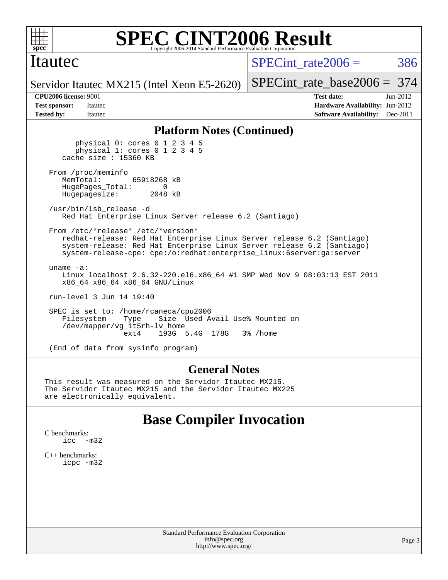

### Itautec

SPECint rate $2006 = 386$ 

[SPECint\\_rate\\_base2006 =](http://www.spec.org/auto/cpu2006/Docs/result-fields.html#SPECintratebase2006) 374

Servidor Itautec MX215 (Intel Xeon E5-2620)

**[CPU2006 license:](http://www.spec.org/auto/cpu2006/Docs/result-fields.html#CPU2006license)** 9001 **[Test date:](http://www.spec.org/auto/cpu2006/Docs/result-fields.html#Testdate)** Jun-2012 **[Test sponsor:](http://www.spec.org/auto/cpu2006/Docs/result-fields.html#Testsponsor)** Itautec **[Hardware Availability:](http://www.spec.org/auto/cpu2006/Docs/result-fields.html#HardwareAvailability)** Jun-2012 **[Tested by:](http://www.spec.org/auto/cpu2006/Docs/result-fields.html#Testedby)** Itautec **Italien Contract Contract Contract Contract Contract Contract Contract Contract Contract Contract Contract Contract Contract Contract Contract Contract Contract Contract Contract Contract Contract Con** 

### **[Platform Notes \(Continued\)](http://www.spec.org/auto/cpu2006/Docs/result-fields.html#PlatformNotes)**

 physical 0: cores 0 1 2 3 4 5 physical 1: cores 0 1 2 3 4 5 cache size : 15360 KB From /proc/meminfo<br>MemTotal: 65918268 kB HugePages\_Total: 0<br>Hugepagesize: 2048 kB Hugepagesize: /usr/bin/lsb\_release -d Red Hat Enterprise Linux Server release 6.2 (Santiago) From /etc/\*release\* /etc/\*version\* redhat-release: Red Hat Enterprise Linux Server release 6.2 (Santiago) system-release: Red Hat Enterprise Linux Server release 6.2 (Santiago) system-release-cpe: cpe:/o:redhat:enterprise\_linux:6server:ga:server uname -a: Linux localhost 2.6.32-220.el6.x86\_64 #1 SMP Wed Nov 9 08:03:13 EST 2011 x86\_64 x86\_64 x86\_64 GNU/Linux run-level 3 Jun 14 19:40 SPEC is set to: /home/rcaneca/cpu2006 Filesystem Type Size Used Avail Use% Mounted on /dev/mapper/vg\_it5rh-lv\_home ext4 193G 5.4G 178G 3% /home

(End of data from sysinfo program)

#### **[General Notes](http://www.spec.org/auto/cpu2006/Docs/result-fields.html#GeneralNotes)**

This result was measured on the Servidor Itautec MX215. The Servidor Itautec MX215 and the Servidor Itautec MX225 are electronically equivalent.

### **[Base Compiler Invocation](http://www.spec.org/auto/cpu2006/Docs/result-fields.html#BaseCompilerInvocation)**

[C benchmarks](http://www.spec.org/auto/cpu2006/Docs/result-fields.html#Cbenchmarks): [icc -m32](http://www.spec.org/cpu2006/results/res2012q3/cpu2006-20120615-22898.flags.html#user_CCbase_intel_icc_5ff4a39e364c98233615fdd38438c6f2)

[C++ benchmarks:](http://www.spec.org/auto/cpu2006/Docs/result-fields.html#CXXbenchmarks) [icpc -m32](http://www.spec.org/cpu2006/results/res2012q3/cpu2006-20120615-22898.flags.html#user_CXXbase_intel_icpc_4e5a5ef1a53fd332b3c49e69c3330699)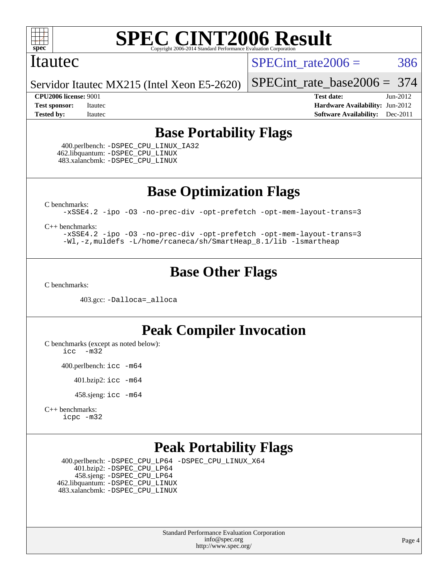

### Itautec

SPECint rate $2006 = 386$ 

Servidor Itautec MX215 (Intel Xeon E5-2620)

**[Tested by:](http://www.spec.org/auto/cpu2006/Docs/result-fields.html#Testedby)** Itautec **Italien Contract Contract Contract Contract Contract Contract Contract Contract Contract Contract Contract Contract Contract Contract Contract Contract Contract Contract Contract Contract Contract Con** 

[SPECint\\_rate\\_base2006 =](http://www.spec.org/auto/cpu2006/Docs/result-fields.html#SPECintratebase2006) 374 **[CPU2006 license:](http://www.spec.org/auto/cpu2006/Docs/result-fields.html#CPU2006license)** 9001 **[Test date:](http://www.spec.org/auto/cpu2006/Docs/result-fields.html#Testdate)** Jun-2012 **[Test sponsor:](http://www.spec.org/auto/cpu2006/Docs/result-fields.html#Testsponsor)** Itautec **[Hardware Availability:](http://www.spec.org/auto/cpu2006/Docs/result-fields.html#HardwareAvailability)** Jun-2012

# **[Base Portability Flags](http://www.spec.org/auto/cpu2006/Docs/result-fields.html#BasePortabilityFlags)**

 400.perlbench: [-DSPEC\\_CPU\\_LINUX\\_IA32](http://www.spec.org/cpu2006/results/res2012q3/cpu2006-20120615-22898.flags.html#b400.perlbench_baseCPORTABILITY_DSPEC_CPU_LINUX_IA32) 462.libquantum: [-DSPEC\\_CPU\\_LINUX](http://www.spec.org/cpu2006/results/res2012q3/cpu2006-20120615-22898.flags.html#b462.libquantum_baseCPORTABILITY_DSPEC_CPU_LINUX) 483.xalancbmk: [-DSPEC\\_CPU\\_LINUX](http://www.spec.org/cpu2006/results/res2012q3/cpu2006-20120615-22898.flags.html#b483.xalancbmk_baseCXXPORTABILITY_DSPEC_CPU_LINUX)

**[Base Optimization Flags](http://www.spec.org/auto/cpu2006/Docs/result-fields.html#BaseOptimizationFlags)**

[C benchmarks](http://www.spec.org/auto/cpu2006/Docs/result-fields.html#Cbenchmarks):

[-xSSE4.2](http://www.spec.org/cpu2006/results/res2012q3/cpu2006-20120615-22898.flags.html#user_CCbase_f-xSSE42_f91528193cf0b216347adb8b939d4107) [-ipo](http://www.spec.org/cpu2006/results/res2012q3/cpu2006-20120615-22898.flags.html#user_CCbase_f-ipo) [-O3](http://www.spec.org/cpu2006/results/res2012q3/cpu2006-20120615-22898.flags.html#user_CCbase_f-O3) [-no-prec-div](http://www.spec.org/cpu2006/results/res2012q3/cpu2006-20120615-22898.flags.html#user_CCbase_f-no-prec-div) [-opt-prefetch](http://www.spec.org/cpu2006/results/res2012q3/cpu2006-20120615-22898.flags.html#user_CCbase_f-opt-prefetch) [-opt-mem-layout-trans=3](http://www.spec.org/cpu2006/results/res2012q3/cpu2006-20120615-22898.flags.html#user_CCbase_f-opt-mem-layout-trans_a7b82ad4bd7abf52556d4961a2ae94d5)

[C++ benchmarks:](http://www.spec.org/auto/cpu2006/Docs/result-fields.html#CXXbenchmarks)

[-xSSE4.2](http://www.spec.org/cpu2006/results/res2012q3/cpu2006-20120615-22898.flags.html#user_CXXbase_f-xSSE42_f91528193cf0b216347adb8b939d4107) [-ipo](http://www.spec.org/cpu2006/results/res2012q3/cpu2006-20120615-22898.flags.html#user_CXXbase_f-ipo) [-O3](http://www.spec.org/cpu2006/results/res2012q3/cpu2006-20120615-22898.flags.html#user_CXXbase_f-O3) [-no-prec-div](http://www.spec.org/cpu2006/results/res2012q3/cpu2006-20120615-22898.flags.html#user_CXXbase_f-no-prec-div) [-opt-prefetch](http://www.spec.org/cpu2006/results/res2012q3/cpu2006-20120615-22898.flags.html#user_CXXbase_f-opt-prefetch) [-opt-mem-layout-trans=3](http://www.spec.org/cpu2006/results/res2012q3/cpu2006-20120615-22898.flags.html#user_CXXbase_f-opt-mem-layout-trans_a7b82ad4bd7abf52556d4961a2ae94d5) [-Wl,-z,muldefs](http://www.spec.org/cpu2006/results/res2012q3/cpu2006-20120615-22898.flags.html#user_CXXbase_link_force_multiple1_74079c344b956b9658436fd1b6dd3a8a) [-L/home/rcaneca/sh/SmartHeap\\_8.1/lib -lsmartheap](http://www.spec.org/cpu2006/results/res2012q3/cpu2006-20120615-22898.flags.html#user_CXXbase_SmartHeap_0f3a9c58980a95eacf4c6b7a458c149d)

### **[Base Other Flags](http://www.spec.org/auto/cpu2006/Docs/result-fields.html#BaseOtherFlags)**

[C benchmarks](http://www.spec.org/auto/cpu2006/Docs/result-fields.html#Cbenchmarks):

403.gcc: [-Dalloca=\\_alloca](http://www.spec.org/cpu2006/results/res2012q3/cpu2006-20120615-22898.flags.html#b403.gcc_baseEXTRA_CFLAGS_Dalloca_be3056838c12de2578596ca5467af7f3)

### **[Peak Compiler Invocation](http://www.spec.org/auto/cpu2006/Docs/result-fields.html#PeakCompilerInvocation)**

[C benchmarks \(except as noted below\)](http://www.spec.org/auto/cpu2006/Docs/result-fields.html#Cbenchmarksexceptasnotedbelow):

[icc -m32](http://www.spec.org/cpu2006/results/res2012q3/cpu2006-20120615-22898.flags.html#user_CCpeak_intel_icc_5ff4a39e364c98233615fdd38438c6f2)

400.perlbench: [icc -m64](http://www.spec.org/cpu2006/results/res2012q3/cpu2006-20120615-22898.flags.html#user_peakCCLD400_perlbench_intel_icc_64bit_bda6cc9af1fdbb0edc3795bac97ada53)

401.bzip2: [icc -m64](http://www.spec.org/cpu2006/results/res2012q3/cpu2006-20120615-22898.flags.html#user_peakCCLD401_bzip2_intel_icc_64bit_bda6cc9af1fdbb0edc3795bac97ada53)

458.sjeng: [icc -m64](http://www.spec.org/cpu2006/results/res2012q3/cpu2006-20120615-22898.flags.html#user_peakCCLD458_sjeng_intel_icc_64bit_bda6cc9af1fdbb0edc3795bac97ada53)

```
C++ benchmarks: 
icpc -m32
```
### **[Peak Portability Flags](http://www.spec.org/auto/cpu2006/Docs/result-fields.html#PeakPortabilityFlags)**

 400.perlbench: [-DSPEC\\_CPU\\_LP64](http://www.spec.org/cpu2006/results/res2012q3/cpu2006-20120615-22898.flags.html#b400.perlbench_peakCPORTABILITY_DSPEC_CPU_LP64) [-DSPEC\\_CPU\\_LINUX\\_X64](http://www.spec.org/cpu2006/results/res2012q3/cpu2006-20120615-22898.flags.html#b400.perlbench_peakCPORTABILITY_DSPEC_CPU_LINUX_X64) 401.bzip2: [-DSPEC\\_CPU\\_LP64](http://www.spec.org/cpu2006/results/res2012q3/cpu2006-20120615-22898.flags.html#suite_peakCPORTABILITY401_bzip2_DSPEC_CPU_LP64) 458.sjeng: [-DSPEC\\_CPU\\_LP64](http://www.spec.org/cpu2006/results/res2012q3/cpu2006-20120615-22898.flags.html#suite_peakCPORTABILITY458_sjeng_DSPEC_CPU_LP64) 462.libquantum: [-DSPEC\\_CPU\\_LINUX](http://www.spec.org/cpu2006/results/res2012q3/cpu2006-20120615-22898.flags.html#b462.libquantum_peakCPORTABILITY_DSPEC_CPU_LINUX) 483.xalancbmk: [-DSPEC\\_CPU\\_LINUX](http://www.spec.org/cpu2006/results/res2012q3/cpu2006-20120615-22898.flags.html#b483.xalancbmk_peakCXXPORTABILITY_DSPEC_CPU_LINUX)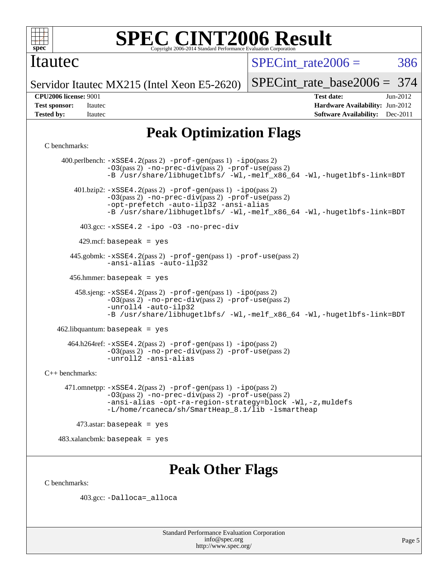

### Itautec

SPECint rate $2006 = 386$ 

Servidor Itautec MX215 (Intel Xeon E5-2620)

[SPECint\\_rate\\_base2006 =](http://www.spec.org/auto/cpu2006/Docs/result-fields.html#SPECintratebase2006) 374

**[CPU2006 license:](http://www.spec.org/auto/cpu2006/Docs/result-fields.html#CPU2006license)** 9001 **[Test date:](http://www.spec.org/auto/cpu2006/Docs/result-fields.html#Testdate)** Jun-2012 **[Test sponsor:](http://www.spec.org/auto/cpu2006/Docs/result-fields.html#Testsponsor)** Itautec **[Hardware Availability:](http://www.spec.org/auto/cpu2006/Docs/result-fields.html#HardwareAvailability)** Jun-2012 **[Tested by:](http://www.spec.org/auto/cpu2006/Docs/result-fields.html#Testedby)** Itautec **Italien Contract Contract Contract Contract Contract Contract Contract Contract Contract Contract Contract Contract Contract Contract Contract Contract Contract Contract Contract Contract Contract Con** 

# **[Peak Optimization Flags](http://www.spec.org/auto/cpu2006/Docs/result-fields.html#PeakOptimizationFlags)**

[C benchmarks](http://www.spec.org/auto/cpu2006/Docs/result-fields.html#Cbenchmarks):

 400.perlbench: [-xSSE4.2](http://www.spec.org/cpu2006/results/res2012q3/cpu2006-20120615-22898.flags.html#user_peakPASS2_CFLAGSPASS2_LDCFLAGS400_perlbench_f-xSSE42_f91528193cf0b216347adb8b939d4107)(pass 2) [-prof-gen](http://www.spec.org/cpu2006/results/res2012q3/cpu2006-20120615-22898.flags.html#user_peakPASS1_CFLAGSPASS1_LDCFLAGS400_perlbench_prof_gen_e43856698f6ca7b7e442dfd80e94a8fc)(pass 1) [-ipo](http://www.spec.org/cpu2006/results/res2012q3/cpu2006-20120615-22898.flags.html#user_peakPASS2_CFLAGSPASS2_LDCFLAGS400_perlbench_f-ipo)(pass 2) [-O3](http://www.spec.org/cpu2006/results/res2012q3/cpu2006-20120615-22898.flags.html#user_peakPASS2_CFLAGSPASS2_LDCFLAGS400_perlbench_f-O3)(pass 2) [-no-prec-div](http://www.spec.org/cpu2006/results/res2012q3/cpu2006-20120615-22898.flags.html#user_peakPASS2_CFLAGSPASS2_LDCFLAGS400_perlbench_f-no-prec-div)(pass 2) [-prof-use](http://www.spec.org/cpu2006/results/res2012q3/cpu2006-20120615-22898.flags.html#user_peakPASS2_CFLAGSPASS2_LDCFLAGS400_perlbench_prof_use_bccf7792157ff70d64e32fe3e1250b55)(pass 2) [-B /usr/share/libhugetlbfs/ -Wl,-melf\\_x86\\_64 -Wl,-hugetlbfs-link=BDT](http://www.spec.org/cpu2006/results/res2012q3/cpu2006-20120615-22898.flags.html#user_peakPASS1_LDOPTPASS2_LDOPT400_perlbench_link_for_large_pages_64bit_fe1717234df9d3a8c8833ff77218828e) 401.bzip2: [-xSSE4.2](http://www.spec.org/cpu2006/results/res2012q3/cpu2006-20120615-22898.flags.html#user_peakPASS2_CFLAGSPASS2_LDCFLAGS401_bzip2_f-xSSE42_f91528193cf0b216347adb8b939d4107)(pass 2) [-prof-gen](http://www.spec.org/cpu2006/results/res2012q3/cpu2006-20120615-22898.flags.html#user_peakPASS1_CFLAGSPASS1_LDCFLAGS401_bzip2_prof_gen_e43856698f6ca7b7e442dfd80e94a8fc)(pass 1) [-ipo](http://www.spec.org/cpu2006/results/res2012q3/cpu2006-20120615-22898.flags.html#user_peakPASS2_CFLAGSPASS2_LDCFLAGS401_bzip2_f-ipo)(pass 2) [-O3](http://www.spec.org/cpu2006/results/res2012q3/cpu2006-20120615-22898.flags.html#user_peakPASS2_CFLAGSPASS2_LDCFLAGS401_bzip2_f-O3)(pass 2) [-no-prec-div](http://www.spec.org/cpu2006/results/res2012q3/cpu2006-20120615-22898.flags.html#user_peakPASS2_CFLAGSPASS2_LDCFLAGS401_bzip2_f-no-prec-div)(pass 2) [-prof-use](http://www.spec.org/cpu2006/results/res2012q3/cpu2006-20120615-22898.flags.html#user_peakPASS2_CFLAGSPASS2_LDCFLAGS401_bzip2_prof_use_bccf7792157ff70d64e32fe3e1250b55)(pass 2) [-opt-prefetch](http://www.spec.org/cpu2006/results/res2012q3/cpu2006-20120615-22898.flags.html#user_peakCOPTIMIZE401_bzip2_f-opt-prefetch) [-auto-ilp32](http://www.spec.org/cpu2006/results/res2012q3/cpu2006-20120615-22898.flags.html#user_peakCOPTIMIZE401_bzip2_f-auto-ilp32) [-ansi-alias](http://www.spec.org/cpu2006/results/res2012q3/cpu2006-20120615-22898.flags.html#user_peakCOPTIMIZE401_bzip2_f-ansi-alias) [-B /usr/share/libhugetlbfs/ -Wl,-melf\\_x86\\_64 -Wl,-hugetlbfs-link=BDT](http://www.spec.org/cpu2006/results/res2012q3/cpu2006-20120615-22898.flags.html#user_peakPASS1_LDOPTPASS2_LDOPT401_bzip2_link_for_large_pages_64bit_fe1717234df9d3a8c8833ff77218828e) 403.gcc: [-xSSE4.2](http://www.spec.org/cpu2006/results/res2012q3/cpu2006-20120615-22898.flags.html#user_peakCOPTIMIZE403_gcc_f-xSSE42_f91528193cf0b216347adb8b939d4107) [-ipo](http://www.spec.org/cpu2006/results/res2012q3/cpu2006-20120615-22898.flags.html#user_peakCOPTIMIZE403_gcc_f-ipo) [-O3](http://www.spec.org/cpu2006/results/res2012q3/cpu2006-20120615-22898.flags.html#user_peakCOPTIMIZE403_gcc_f-O3) [-no-prec-div](http://www.spec.org/cpu2006/results/res2012q3/cpu2006-20120615-22898.flags.html#user_peakCOPTIMIZE403_gcc_f-no-prec-div) 429.mcf: basepeak = yes 445.gobmk: [-xSSE4.2](http://www.spec.org/cpu2006/results/res2012q3/cpu2006-20120615-22898.flags.html#user_peakPASS2_CFLAGSPASS2_LDCFLAGS445_gobmk_f-xSSE42_f91528193cf0b216347adb8b939d4107)(pass 2) [-prof-gen](http://www.spec.org/cpu2006/results/res2012q3/cpu2006-20120615-22898.flags.html#user_peakPASS1_CFLAGSPASS1_LDCFLAGS445_gobmk_prof_gen_e43856698f6ca7b7e442dfd80e94a8fc)(pass 1) [-prof-use](http://www.spec.org/cpu2006/results/res2012q3/cpu2006-20120615-22898.flags.html#user_peakPASS2_CFLAGSPASS2_LDCFLAGS445_gobmk_prof_use_bccf7792157ff70d64e32fe3e1250b55)(pass 2) [-ansi-alias](http://www.spec.org/cpu2006/results/res2012q3/cpu2006-20120615-22898.flags.html#user_peakCOPTIMIZE445_gobmk_f-ansi-alias) [-auto-ilp32](http://www.spec.org/cpu2006/results/res2012q3/cpu2006-20120615-22898.flags.html#user_peakCOPTIMIZE445_gobmk_f-auto-ilp32) 456.hmmer: basepeak = yes 458.sjeng: [-xSSE4.2](http://www.spec.org/cpu2006/results/res2012q3/cpu2006-20120615-22898.flags.html#user_peakPASS2_CFLAGSPASS2_LDCFLAGS458_sjeng_f-xSSE42_f91528193cf0b216347adb8b939d4107)(pass 2) [-prof-gen](http://www.spec.org/cpu2006/results/res2012q3/cpu2006-20120615-22898.flags.html#user_peakPASS1_CFLAGSPASS1_LDCFLAGS458_sjeng_prof_gen_e43856698f6ca7b7e442dfd80e94a8fc)(pass 1) [-ipo](http://www.spec.org/cpu2006/results/res2012q3/cpu2006-20120615-22898.flags.html#user_peakPASS2_CFLAGSPASS2_LDCFLAGS458_sjeng_f-ipo)(pass 2) [-O3](http://www.spec.org/cpu2006/results/res2012q3/cpu2006-20120615-22898.flags.html#user_peakPASS2_CFLAGSPASS2_LDCFLAGS458_sjeng_f-O3)(pass 2) [-no-prec-div](http://www.spec.org/cpu2006/results/res2012q3/cpu2006-20120615-22898.flags.html#user_peakPASS2_CFLAGSPASS2_LDCFLAGS458_sjeng_f-no-prec-div)(pass 2) [-prof-use](http://www.spec.org/cpu2006/results/res2012q3/cpu2006-20120615-22898.flags.html#user_peakPASS2_CFLAGSPASS2_LDCFLAGS458_sjeng_prof_use_bccf7792157ff70d64e32fe3e1250b55)(pass 2) [-unroll4](http://www.spec.org/cpu2006/results/res2012q3/cpu2006-20120615-22898.flags.html#user_peakCOPTIMIZE458_sjeng_f-unroll_4e5e4ed65b7fd20bdcd365bec371b81f) [-auto-ilp32](http://www.spec.org/cpu2006/results/res2012q3/cpu2006-20120615-22898.flags.html#user_peakCOPTIMIZE458_sjeng_f-auto-ilp32) [-B /usr/share/libhugetlbfs/ -Wl,-melf\\_x86\\_64 -Wl,-hugetlbfs-link=BDT](http://www.spec.org/cpu2006/results/res2012q3/cpu2006-20120615-22898.flags.html#user_peakPASS1_LDOPTPASS2_LDOPT458_sjeng_link_for_large_pages_64bit_fe1717234df9d3a8c8833ff77218828e) 462.libquantum: basepeak = yes  $464.h264$ ref:  $-xSSE4$ .  $2(pass 2)$  [-prof-gen](http://www.spec.org/cpu2006/results/res2012q3/cpu2006-20120615-22898.flags.html#user_peakPASS1_CFLAGSPASS1_LDCFLAGS464_h264ref_prof_gen_e43856698f6ca7b7e442dfd80e94a8fc)(pass 1) [-ipo](http://www.spec.org/cpu2006/results/res2012q3/cpu2006-20120615-22898.flags.html#user_peakPASS2_CFLAGSPASS2_LDCFLAGS464_h264ref_f-ipo)(pass 2) [-O3](http://www.spec.org/cpu2006/results/res2012q3/cpu2006-20120615-22898.flags.html#user_peakPASS2_CFLAGSPASS2_LDCFLAGS464_h264ref_f-O3)(pass 2) [-no-prec-div](http://www.spec.org/cpu2006/results/res2012q3/cpu2006-20120615-22898.flags.html#user_peakPASS2_CFLAGSPASS2_LDCFLAGS464_h264ref_f-no-prec-div)(pass 2) [-prof-use](http://www.spec.org/cpu2006/results/res2012q3/cpu2006-20120615-22898.flags.html#user_peakPASS2_CFLAGSPASS2_LDCFLAGS464_h264ref_prof_use_bccf7792157ff70d64e32fe3e1250b55)(pass 2) [-unroll2](http://www.spec.org/cpu2006/results/res2012q3/cpu2006-20120615-22898.flags.html#user_peakCOPTIMIZE464_h264ref_f-unroll_784dae83bebfb236979b41d2422d7ec2) [-ansi-alias](http://www.spec.org/cpu2006/results/res2012q3/cpu2006-20120615-22898.flags.html#user_peakCOPTIMIZE464_h264ref_f-ansi-alias) [C++ benchmarks:](http://www.spec.org/auto/cpu2006/Docs/result-fields.html#CXXbenchmarks) 471.omnetpp: [-xSSE4.2](http://www.spec.org/cpu2006/results/res2012q3/cpu2006-20120615-22898.flags.html#user_peakPASS2_CXXFLAGSPASS2_LDCXXFLAGS471_omnetpp_f-xSSE42_f91528193cf0b216347adb8b939d4107)(pass 2) [-prof-gen](http://www.spec.org/cpu2006/results/res2012q3/cpu2006-20120615-22898.flags.html#user_peakPASS1_CXXFLAGSPASS1_LDCXXFLAGS471_omnetpp_prof_gen_e43856698f6ca7b7e442dfd80e94a8fc)(pass 1) [-ipo](http://www.spec.org/cpu2006/results/res2012q3/cpu2006-20120615-22898.flags.html#user_peakPASS2_CXXFLAGSPASS2_LDCXXFLAGS471_omnetpp_f-ipo)(pass 2) [-O3](http://www.spec.org/cpu2006/results/res2012q3/cpu2006-20120615-22898.flags.html#user_peakPASS2_CXXFLAGSPASS2_LDCXXFLAGS471_omnetpp_f-O3)(pass 2) [-no-prec-div](http://www.spec.org/cpu2006/results/res2012q3/cpu2006-20120615-22898.flags.html#user_peakPASS2_CXXFLAGSPASS2_LDCXXFLAGS471_omnetpp_f-no-prec-div)(pass 2) [-prof-use](http://www.spec.org/cpu2006/results/res2012q3/cpu2006-20120615-22898.flags.html#user_peakPASS2_CXXFLAGSPASS2_LDCXXFLAGS471_omnetpp_prof_use_bccf7792157ff70d64e32fe3e1250b55)(pass 2) [-ansi-alias](http://www.spec.org/cpu2006/results/res2012q3/cpu2006-20120615-22898.flags.html#user_peakCXXOPTIMIZE471_omnetpp_f-ansi-alias) [-opt-ra-region-strategy=block](http://www.spec.org/cpu2006/results/res2012q3/cpu2006-20120615-22898.flags.html#user_peakCXXOPTIMIZE471_omnetpp_f-opt-ra-region-strategy_a0a37c372d03933b2a18d4af463c1f69) [-Wl,-z,muldefs](http://www.spec.org/cpu2006/results/res2012q3/cpu2006-20120615-22898.flags.html#user_peakEXTRA_LDFLAGS471_omnetpp_link_force_multiple1_74079c344b956b9658436fd1b6dd3a8a) [-L/home/rcaneca/sh/SmartHeap\\_8.1/lib -lsmartheap](http://www.spec.org/cpu2006/results/res2012q3/cpu2006-20120615-22898.flags.html#user_peakEXTRA_LIBS471_omnetpp_SmartHeap_0f3a9c58980a95eacf4c6b7a458c149d)  $473$ .astar: basepeak = yes 483.xalancbmk: basepeak = yes

# **[Peak Other Flags](http://www.spec.org/auto/cpu2006/Docs/result-fields.html#PeakOtherFlags)**

[C benchmarks](http://www.spec.org/auto/cpu2006/Docs/result-fields.html#Cbenchmarks):

403.gcc: [-Dalloca=\\_alloca](http://www.spec.org/cpu2006/results/res2012q3/cpu2006-20120615-22898.flags.html#b403.gcc_peakEXTRA_CFLAGS_Dalloca_be3056838c12de2578596ca5467af7f3)